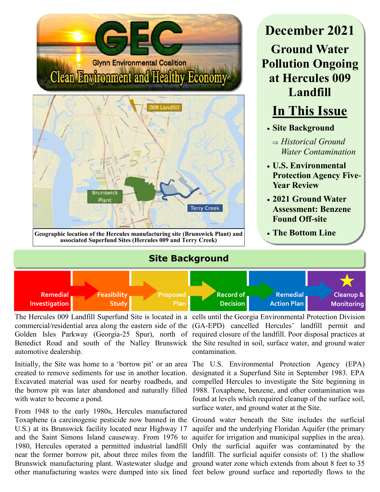

automotive dealership.

created to remove sediments for use in another location. Excavated material was used for nearby roadbeds, and the borrow pit was later abandoned and naturally filled 1988. Toxaphene, benzene, and other contamination was with water to become a pond.

From 1948 to the early 1980s, Hercules manufactured Toxaphene (a carcinogenic pesticide now banned in the U.S.) at its Brunswick facility located near Highway 17 and the Saint Simons Island causeway. From 1976 to 1980, Hercules operated a permitted industrial landfill near the former borrow pit, about three miles from the landfill. The surficial aquifer consists of: 1) the shallow Brunswick manufacturing plant. Wastewater sludge and ground water zone which extends from about 8 feet to 35 other manufacturing wastes were dumped into six lined feet below ground surface and reportedly flows to the

The Hercules 009 Landfill Superfund Site is located in a cells until the Georgia Environmental Protection Division commercial/residential area along the eastern side of the (GA-EPD) cancelled Hercules' landfill permit and Golden Isles Parkway (Georgia-25 Spur), north of required closure of the landfill. Poor disposal practices at Benedict Road and south of the Nalley Brunswick the Site resulted in soil, surface water, and ground water contamination.

Initially, the Site was home to a 'borrow pit' or an area The U.S. Environmental Protection Agency (EPA) designated it a Superfund Site in September 1983. EPA compelled Hercules to investigate the Site beginning in found at levels which required cleanup of the surface soil, surface water, and ground water at the Site.

> Ground water beneath the Site includes the surficial aquifer and the underlying Floridan Aquifer (the primary aquifer for irrigation and municipal supplies in the area). Only the surficial aquifer was contaminated by the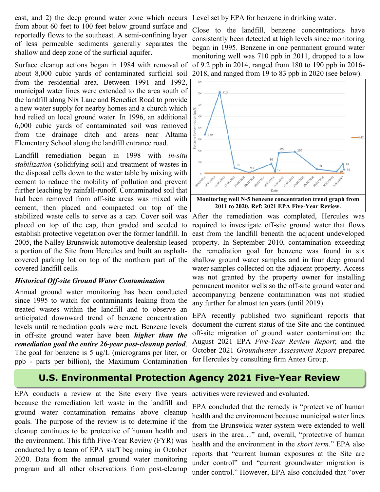east, and 2) the deep ground water zone which occurs Level set by EPA for benzene in drinking water. from about 60 feet to 100 feet below ground surface and reportedly flows to the southeast. A semi-confining layer of less permeable sediments generally separates the shallow and deep zone of the surficial aquifer.

Surface cleanup actions began in 1984 with removal of about 8,000 cubic yards of contaminated surficial soil from the residential area. Between 1991 and 1992, municipal water lines were extended to the area south of the landfill along Nix Lane and Benedict Road to provide a new water supply for nearby homes and a church which had relied on local ground water. In 1996, an additional 6,000 cubic yards of contaminated soil was removed from the drainage ditch and areas near Altama Elementary School along the landfill entrance road.

Landfill remediation began in 1998 with *in-situ stabilization* (solidifying soil) and treatment of wastes in the disposal cells down to the water table by mixing with cement to reduce the mobility of pollution and prevent further leaching by rainfall-runoff. Contaminated soil that had been removed from off-site areas was mixed with cement, then placed and compacted on top of the placed on top of the cap, then graded and seeded to establish protective vegetation over the former landfill. In 2005, the Nalley Brunswick automotive dealership leased a portion of the Site from Hercules and built an asphaltcovered parking lot on top of the northern part of the covered landfill cells.

### *Historical Off-site Ground Water Contamination*

Annual ground water monitoring has been conducted since 1995 to watch for contaminants leaking from the treated wastes within the landfill and to observe an anticipated downward trend of benzene concentration levels until remediation goals were met. Benzene levels in off-site ground water have been *higher than the remediation goal the entire 26-year post-cleanup period*. The goal for benzene is 5 ug/L (micrograms per liter, or ppb - parts per billion), the Maximum Contamination

Close to the landfill, benzene concentrations have consistently been detected at high levels since monitoring began in 1995. Benzene in one permanent ground water monitoring well was 710 ppb in 2011, dropped to a low of 9.2 ppb in 2014, ranged from 180 to 190 ppb in 2016- 2018, and ranged from 19 to 83 ppb in 2020 (see below).



stabilized waste cells to serve as a cap. Cover soil was After the remediation was completed, Hercules was required to investigate off-site ground water that flows east from the landfill beneath the adjacent undeveloped property. In September 2010, contamination exceeding the remediation goal for benzene was found in six shallow ground water samples and in four deep ground water samples collected on the adjacent property. Access was not granted by the property owner for installing permanent monitor wells so the off-site ground water and accompanying benzene contamination was not studied any further for almost ten years (until 2019).

> EPA recently published two significant reports that document the current status of the Site and the continued off-site migration of ground water contamination: the August 2021 EPA *Five-Year Review Report*; and the October 2021 *Groundwater Assessment Report* prepared for Hercules by consulting firm Antea Group.

# **U.S. Environmental Protection Agency 2021 Five-Year Review**

EPA conducts a review at the Site every five years because the remediation left waste in the landfill and ground water contamination remains above cleanup goals. The purpose of the review is to determine if the cleanup continues to be protective of human health and the environment. This fifth Five-Year Review (FYR) was conducted by a team of EPA staff beginning in October 2020. Data from the annual ground water monitoring program and all other observations from post-cleanup

activities were reviewed and evaluated.

EPA concluded that the remedy is "protective of human health and the environment because municipal water lines from the Brunswick water system were extended to well users in the area…" and, overall, "protective of human health and the environment in the *short term*." EPA also reports that "current human exposures at the Site are under control" and "current groundwater migration is under control." However, EPA also concluded that "over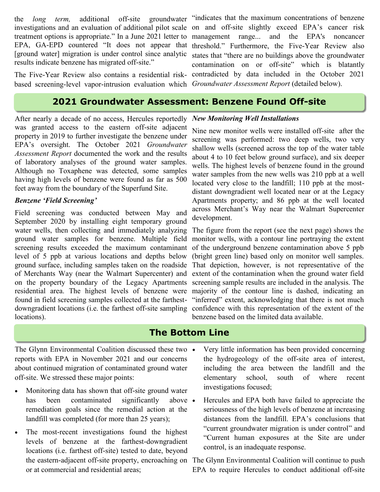the *long term,* additional off-site groundwater investigations and an evaluation of additional pilot scale on and off-site slightly exceed EPA's cancer risk treatment options is appropriate." In a June 2021 letter to EPA, GA-EPD countered "It does not appear that threshold." Furthermore, the Five-Year Review also [ground water] migration is under control since analytic results indicate benzene has migrated off-site."

based screening-level vapor-intrusion evaluation which *Groundwater Assessment Report* (detailed below).

### **2021 Groundwater Assessment: Benzene Found Off-site**

After nearly a decade of no access, Hercules reportedly was granted access to the eastern off-site adjacent property in 2019 to further investigate the benzene under EPA's oversight. The October 2021 *Groundwater Assessment Report* documented the work and the results of laboratory analyses of the ground water samples. Although no Toxaphene was detected, some samples having high levels of benzene were found as far as 500 feet away from the boundary of the Superfund Site.

#### *Benzene 'Field Screening'*

Field screening was conducted between May and September 2020 by installing eight temporary ground water wells, then collecting and immediately analyzing level of 5 ppb at various locations and depths below locations).

*New Monitoring Well Installations*

Nine new monitor wells were installed off-site after the screening was performed: two deep wells, two very shallow wells (screened across the top of the water table about 4 to 10 feet below ground surface), and six deeper wells. The highest levels of benzene found in the ground water samples from the new wells was 210 ppb at a well located very close to the landfill; 110 ppb at the mostdistant downgradient well located near or at the Legacy Apartments property; and 86 ppb at the well located across Merchant's Way near the Walmart Supercenter development.

ground water samples for benzene. Multiple field monitor wells, with a contour line portraying the extent screening results exceeded the maximum contaminant of the underground benzene contamination above 5 ppb ground surface, including samples taken on the roadside That depiction, however, is not representative of the of Merchants Way (near the Walmart Supercenter) and extent of the contamination when the ground water field on the property boundary of the Legacy Apartments screening sample results are included in the analysis. The residential area. The highest levels of benzene were majority of the contour line is dashed, indicating an found in field screening samples collected at the farthest- "inferred" extent, acknowledging that there is not much downgradient locations (i.e. the farthest off-site sampling confidence with this representation of the extent of the The figure from the report (see the next page) shows the (bright green line) based only on monitor well samples. benzene based on the limited data available.

## **The Bottom Line**

The Glynn Environmental Coalition discussed these two  $\bullet$ reports with EPA in November 2021 and our concerns about continued migration of contaminated ground water off-site. We stressed these major points:

- Monitoring data has shown that off-site ground water has been contaminated significantly above • remediation goals since the remedial action at the landfill was completed (for more than 25 years);
- The most-recent investigations found the highest levels of benzene at the farthest-downgradient locations (i.e. farthest off-site) tested to date, beyond the eastern-adjacent off-site property, encroaching on The Glynn Environmental Coalition will continue to push or at commercial and residential areas;
- Very little information has been provided concerning the hydrogeology of the off-site area of interest, including the area between the landfill and the elementary school, south of where recent investigations focused;
- Hercules and EPA both have failed to appreciate the seriousness of the high levels of benzene at increasing distances from the landfill. EPA's conclusions that "current groundwater migration is under control" and "Current human exposures at the Site are under control, is an inadequate response.

EPA to require Hercules to conduct additional off-site

The Five-Year Review also contains a residential risk-contradicted by data included in the October 2021 "indicates that the maximum concentrations of benzene management range... and the EPA's noncancer states that "there are no buildings above the groundwater contamination on or off-site" which is blatantly